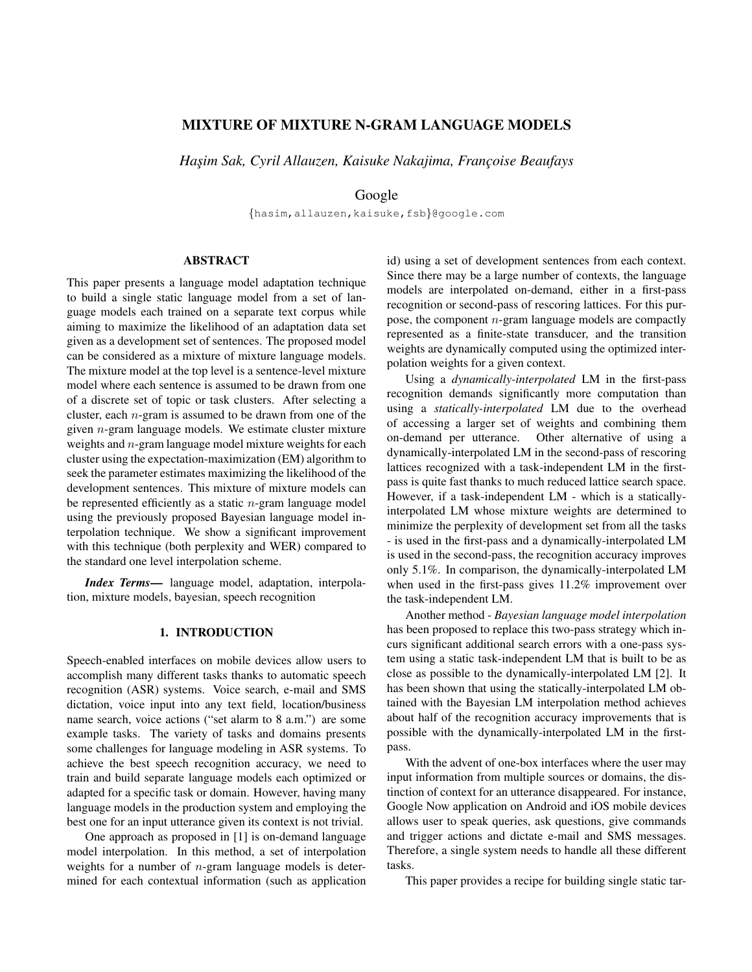# MIXTURE OF MIXTURE N-GRAM LANGUAGE MODELS

*Has¸im Sak, Cyril Allauzen, Kaisuke Nakajima, Franc¸oise Beaufays*

Google

{hasim,allauzen,kaisuke,fsb}@google.com

### ABSTRACT

This paper presents a language model adaptation technique to build a single static language model from a set of language models each trained on a separate text corpus while aiming to maximize the likelihood of an adaptation data set given as a development set of sentences. The proposed model can be considered as a mixture of mixture language models. The mixture model at the top level is a sentence-level mixture model where each sentence is assumed to be drawn from one of a discrete set of topic or task clusters. After selecting a cluster, each  $n$ -gram is assumed to be drawn from one of the given n-gram language models. We estimate cluster mixture weights and n-gram language model mixture weights for each cluster using the expectation-maximization (EM) algorithm to seek the parameter estimates maximizing the likelihood of the development sentences. This mixture of mixture models can be represented efficiently as a static  $n$ -gram language model using the previously proposed Bayesian language model interpolation technique. We show a significant improvement with this technique (both perplexity and WER) compared to the standard one level interpolation scheme.

*Index Terms*— language model, adaptation, interpolation, mixture models, bayesian, speech recognition

#### 1. INTRODUCTION

Speech-enabled interfaces on mobile devices allow users to accomplish many different tasks thanks to automatic speech recognition (ASR) systems. Voice search, e-mail and SMS dictation, voice input into any text field, location/business name search, voice actions ("set alarm to 8 a.m.") are some example tasks. The variety of tasks and domains presents some challenges for language modeling in ASR systems. To achieve the best speech recognition accuracy, we need to train and build separate language models each optimized or adapted for a specific task or domain. However, having many language models in the production system and employing the best one for an input utterance given its context is not trivial.

One approach as proposed in [1] is on-demand language model interpolation. In this method, a set of interpolation weights for a number of  $n$ -gram language models is determined for each contextual information (such as application

id) using a set of development sentences from each context. Since there may be a large number of contexts, the language models are interpolated on-demand, either in a first-pass recognition or second-pass of rescoring lattices. For this purpose, the component  $n$ -gram language models are compactly represented as a finite-state transducer, and the transition weights are dynamically computed using the optimized interpolation weights for a given context.

Using a *dynamically-interpolated* LM in the first-pass recognition demands significantly more computation than using a *statically-interpolated* LM due to the overhead of accessing a larger set of weights and combining them on-demand per utterance. Other alternative of using a dynamically-interpolated LM in the second-pass of rescoring lattices recognized with a task-independent LM in the firstpass is quite fast thanks to much reduced lattice search space. However, if a task-independent LM - which is a staticallyinterpolated LM whose mixture weights are determined to minimize the perplexity of development set from all the tasks - is used in the first-pass and a dynamically-interpolated LM is used in the second-pass, the recognition accuracy improves only 5.1%. In comparison, the dynamically-interpolated LM when used in the first-pass gives 11.2% improvement over the task-independent LM.

Another method - *Bayesian language model interpolation* has been proposed to replace this two-pass strategy which incurs significant additional search errors with a one-pass system using a static task-independent LM that is built to be as close as possible to the dynamically-interpolated LM [2]. It has been shown that using the statically-interpolated LM obtained with the Bayesian LM interpolation method achieves about half of the recognition accuracy improvements that is possible with the dynamically-interpolated LM in the firstpass.

With the advent of one-box interfaces where the user may input information from multiple sources or domains, the distinction of context for an utterance disappeared. For instance, Google Now application on Android and iOS mobile devices allows user to speak queries, ask questions, give commands and trigger actions and dictate e-mail and SMS messages. Therefore, a single system needs to handle all these different tasks.

This paper provides a recipe for building single static tar-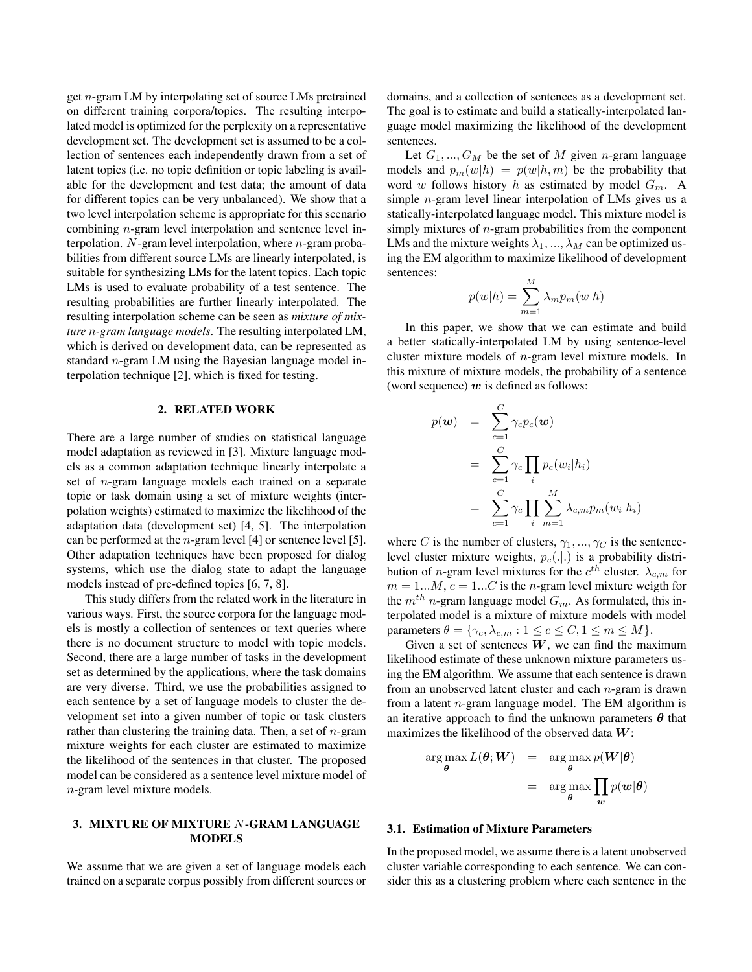get n-gram LM by interpolating set of source LMs pretrained on different training corpora/topics. The resulting interpolated model is optimized for the perplexity on a representative development set. The development set is assumed to be a collection of sentences each independently drawn from a set of latent topics (i.e. no topic definition or topic labeling is available for the development and test data; the amount of data for different topics can be very unbalanced). We show that a two level interpolation scheme is appropriate for this scenario combining n-gram level interpolation and sentence level interpolation.  $N$ -gram level interpolation, where  $n$ -gram probabilities from different source LMs are linearly interpolated, is suitable for synthesizing LMs for the latent topics. Each topic LMs is used to evaluate probability of a test sentence. The resulting probabilities are further linearly interpolated. The resulting interpolation scheme can be seen as *mixture of mixture* n*-gram language models*. The resulting interpolated LM, which is derived on development data, can be represented as standard n-gram LM using the Bayesian language model interpolation technique [2], which is fixed for testing.

#### 2. RELATED WORK

There are a large number of studies on statistical language model adaptation as reviewed in [3]. Mixture language models as a common adaptation technique linearly interpolate a set of n-gram language models each trained on a separate topic or task domain using a set of mixture weights (interpolation weights) estimated to maximize the likelihood of the adaptation data (development set) [4, 5]. The interpolation can be performed at the *n*-gram level [4] or sentence level [5]. Other adaptation techniques have been proposed for dialog systems, which use the dialog state to adapt the language models instead of pre-defined topics [6, 7, 8].

This study differs from the related work in the literature in various ways. First, the source corpora for the language models is mostly a collection of sentences or text queries where there is no document structure to model with topic models. Second, there are a large number of tasks in the development set as determined by the applications, where the task domains are very diverse. Third, we use the probabilities assigned to each sentence by a set of language models to cluster the development set into a given number of topic or task clusters rather than clustering the training data. Then, a set of  $n$ -gram mixture weights for each cluster are estimated to maximize the likelihood of the sentences in that cluster. The proposed model can be considered as a sentence level mixture model of n-gram level mixture models.

## 3. MIXTURE OF MIXTURE N-GRAM LANGUAGE MODELS

We assume that we are given a set of language models each trained on a separate corpus possibly from different sources or domains, and a collection of sentences as a development set. The goal is to estimate and build a statically-interpolated language model maximizing the likelihood of the development sentences.

Let  $G_1, ..., G_M$  be the set of M given n-gram language models and  $p_m(w|h) = p(w|h, m)$  be the probability that word w follows history  $h$  as estimated by model  $G_m$ . A simple  $n$ -gram level linear interpolation of LMs gives us a statically-interpolated language model. This mixture model is simply mixtures of  $n$ -gram probabilities from the component LMs and the mixture weights  $\lambda_1, ..., \lambda_M$  can be optimized using the EM algorithm to maximize likelihood of development sentences:

$$
p(w|h) = \sum_{m=1}^{M} \lambda_m p_m(w|h)
$$

In this paper, we show that we can estimate and build a better statically-interpolated LM by using sentence-level cluster mixture models of n-gram level mixture models. In this mixture of mixture models, the probability of a sentence (word sequence)  $w$  is defined as follows:

$$
p(\boldsymbol{w}) = \sum_{c=1}^{C} \gamma_c p_c(\boldsymbol{w})
$$
  
= 
$$
\sum_{c=1}^{C} \gamma_c \prod_i p_c(w_i|h_i)
$$
  
= 
$$
\sum_{c=1}^{C} \gamma_c \prod_i \sum_{m=1}^{M} \lambda_{c,m} p_m(w_i|h_i)
$$

where C is the number of clusters,  $\gamma_1, ..., \gamma_C$  is the sentencelevel cluster mixture weights,  $p_c(.|.)$  is a probability distribution of *n*-gram level mixtures for the  $c^{th}$  cluster.  $\lambda_{c,m}$  for  $m = 1...M$ ,  $c = 1...C$  is the *n*-gram level mixture weigth for the  $m^{th}$  n-gram language model  $G_m$ . As formulated, this interpolated model is a mixture of mixture models with model parameters  $\theta = \{\gamma_c, \lambda_{c,m} : 1 \leq c \leq C, 1 \leq m \leq M\}.$ 

Given a set of sentences  $W$ , we can find the maximum likelihood estimate of these unknown mixture parameters using the EM algorithm. We assume that each sentence is drawn from an unobserved latent cluster and each  $n$ -gram is drawn from a latent n-gram language model. The EM algorithm is an iterative approach to find the unknown parameters  $\theta$  that maximizes the likelihood of the observed data  $W$ :

$$
\arg \max_{\theta} L(\theta; \mathbf{W}) = \arg \max_{\theta} p(\mathbf{W}|\theta)
$$

$$
= \arg \max_{\theta} \prod_{w} p(w|\theta)
$$

### 3.1. Estimation of Mixture Parameters

In the proposed model, we assume there is a latent unobserved cluster variable corresponding to each sentence. We can consider this as a clustering problem where each sentence in the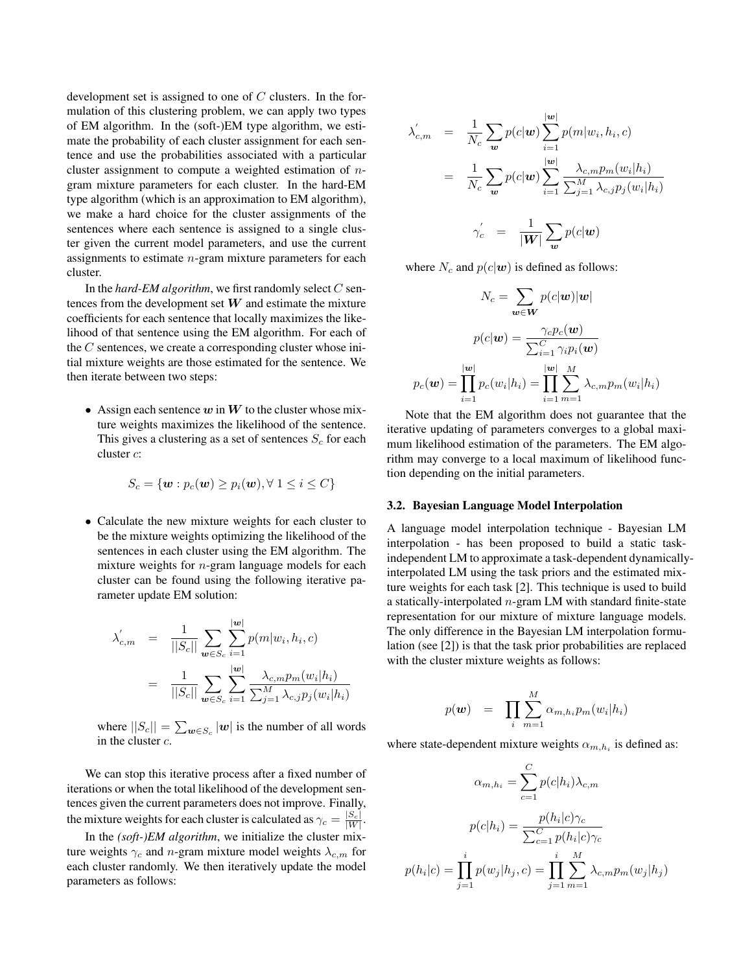development set is assigned to one of  $C$  clusters. In the formulation of this clustering problem, we can apply two types of EM algorithm. In the (soft-)EM type algorithm, we estimate the probability of each cluster assignment for each sentence and use the probabilities associated with a particular cluster assignment to compute a weighted estimation of ngram mixture parameters for each cluster. In the hard-EM type algorithm (which is an approximation to EM algorithm), we make a hard choice for the cluster assignments of the sentences where each sentence is assigned to a single cluster given the current model parameters, and use the current assignments to estimate  $n$ -gram mixture parameters for each cluster.

In the *hard-EM algorithm*, we first randomly select C sentences from the development set  $W$  and estimate the mixture coefficients for each sentence that locally maximizes the likelihood of that sentence using the EM algorithm. For each of the  $C$  sentences, we create a corresponding cluster whose initial mixture weights are those estimated for the sentence. We then iterate between two steps:

• Assign each sentence  $w$  in  $W$  to the cluster whose mixture weights maximizes the likelihood of the sentence. This gives a clustering as a set of sentences  $S_c$  for each cluster c:

$$
S_c = \{ \boldsymbol{w} : p_c(\boldsymbol{w}) \geq p_i(\boldsymbol{w}), \forall \ 1 \leq i \leq C \}
$$

• Calculate the new mixture weights for each cluster to be the mixture weights optimizing the likelihood of the sentences in each cluster using the EM algorithm. The mixture weights for  $n$ -gram language models for each cluster can be found using the following iterative parameter update EM solution:

$$
\lambda'_{c,m} = \frac{1}{||S_c||} \sum_{w \in S_c} \sum_{i=1}^{|w|} p(m|w_i, h_i, c)
$$

$$
= \frac{1}{||S_c||} \sum_{w \in S_c} \sum_{i=1}^{|w|} \frac{\lambda_{c,m} p_m(w_i|h_i)}{\sum_{j=1}^M \lambda_{c,j} p_j(w_i|h_i)}
$$

where  $||S_c|| = \sum_{\mathbf{w} \in S_c} |\mathbf{w}|$  is the number of all words in the cluster c.

We can stop this iterative process after a fixed number of iterations or when the total likelihood of the development sentences given the current parameters does not improve. Finally, the mixture weights for each cluster is calculated as  $\gamma_c = \frac{|S_c|}{|W|}$ .

In the *(soft-)EM algorithm*, we initialize the cluster mixture weights  $\gamma_c$  and *n*-gram mixture model weights  $\lambda_{c,m}$  for each cluster randomly. We then iteratively update the model parameters as follows:

$$
\lambda'_{c,m} = \frac{1}{N_c} \sum_{\mathbf{w}} p(c|\mathbf{w}) \sum_{i=1}^{|\mathbf{w}|} p(m|w_i, h_i, c)
$$

$$
= \frac{1}{N_c} \sum_{\mathbf{w}} p(c|\mathbf{w}) \sum_{i=1}^{|\mathbf{w}|} \frac{\lambda_{c,m} p_m(w_i|h_i)}{\sum_{j=1}^{M} \lambda_{c,j} p_j(w_i|h_i)}
$$

$$
\gamma'_c = \frac{1}{|\mathbf{W}|} \sum_{\mathbf{w}} p(c|\mathbf{w})
$$

where  $N_c$  and  $p(c|\mathbf{w})$  is defined as follows:

$$
N_c = \sum_{\mathbf{w} \in \mathbf{W}} p(c|\mathbf{w})|\mathbf{w}|
$$

$$
p(c|\mathbf{w}) = \frac{\gamma_c p_c(\mathbf{w})}{\sum_{i=1}^C \gamma_i p_i(\mathbf{w})}
$$

$$
p_c(\mathbf{w}) = \prod_{i=1}^{|\mathbf{w}|} p_c(w_i|h_i) = \prod_{i=1}^{|\mathbf{w}|} \sum_{m=1}^M \lambda_{c,m} p_m(w_i|h_i)
$$

Note that the EM algorithm does not guarantee that the iterative updating of parameters converges to a global maximum likelihood estimation of the parameters. The EM algorithm may converge to a local maximum of likelihood function depending on the initial parameters.

#### 3.2. Bayesian Language Model Interpolation

A language model interpolation technique - Bayesian LM interpolation - has been proposed to build a static taskindependent LM to approximate a task-dependent dynamicallyinterpolated LM using the task priors and the estimated mixture weights for each task [2]. This technique is used to build a statically-interpolated  $n$ -gram LM with standard finite-state representation for our mixture of mixture language models. The only difference in the Bayesian LM interpolation formulation (see [2]) is that the task prior probabilities are replaced with the cluster mixture weights as follows:

$$
p(\boldsymbol{w}) = \prod_{i} \sum_{m=1}^{M} \alpha_{m,h_i} p_m(w_i|h_i)
$$

where state-dependent mixture weights  $\alpha_{m,h_i}$  is defined as:

$$
\alpha_{m,h_i} = \sum_{c=1}^{C} p(c|h_i)\lambda_{c,m}
$$

$$
p(c|h_i) = \frac{p(h_i|c)\gamma_c}{\sum_{c=1}^{C} p(h_i|c)\gamma_c}
$$

$$
p(h_i|c) = \prod_{j=1}^{i} p(w_j|h_j, c) = \prod_{j=1}^{i} \sum_{m=1}^{M} \lambda_{c,m} p_m(w_j|h_j)
$$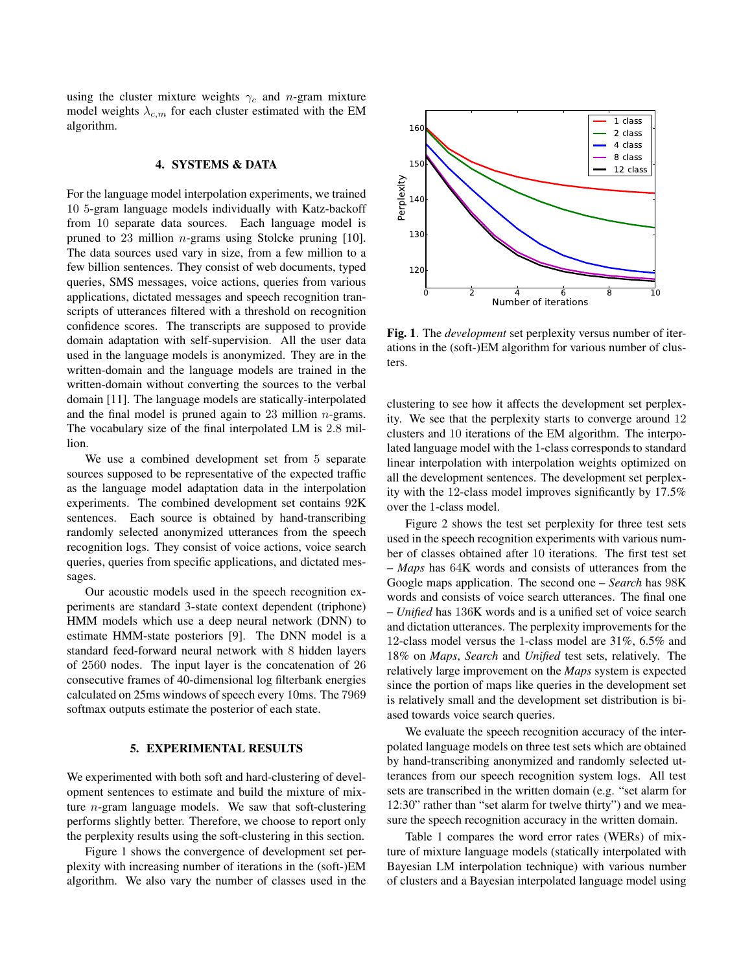using the cluster mixture weights  $\gamma_c$  and *n*-gram mixture model weights  $\lambda_{c,m}$  for each cluster estimated with the EM algorithm.

### 4. SYSTEMS & DATA

For the language model interpolation experiments, we trained 10 5-gram language models individually with Katz-backoff from 10 separate data sources. Each language model is pruned to 23 million  $n$ -grams using Stolcke pruning [10]. The data sources used vary in size, from a few million to a few billion sentences. They consist of web documents, typed queries, SMS messages, voice actions, queries from various applications, dictated messages and speech recognition transcripts of utterances filtered with a threshold on recognition confidence scores. The transcripts are supposed to provide domain adaptation with self-supervision. All the user data used in the language models is anonymized. They are in the written-domain and the language models are trained in the written-domain without converting the sources to the verbal domain [11]. The language models are statically-interpolated and the final model is pruned again to 23 million  $n$ -grams. The vocabulary size of the final interpolated LM is 2.8 million.

We use a combined development set from 5 separate sources supposed to be representative of the expected traffic as the language model adaptation data in the interpolation experiments. The combined development set contains 92K sentences. Each source is obtained by hand-transcribing randomly selected anonymized utterances from the speech recognition logs. They consist of voice actions, voice search queries, queries from specific applications, and dictated messages.

Our acoustic models used in the speech recognition experiments are standard 3-state context dependent (triphone) HMM models which use a deep neural network (DNN) to estimate HMM-state posteriors [9]. The DNN model is a standard feed-forward neural network with 8 hidden layers of 2560 nodes. The input layer is the concatenation of 26 consecutive frames of 40-dimensional log filterbank energies calculated on 25ms windows of speech every 10ms. The 7969 softmax outputs estimate the posterior of each state.

## 5. EXPERIMENTAL RESULTS

We experimented with both soft and hard-clustering of development sentences to estimate and build the mixture of mixture n-gram language models. We saw that soft-clustering performs slightly better. Therefore, we choose to report only the perplexity results using the soft-clustering in this section.

Figure 1 shows the convergence of development set perplexity with increasing number of iterations in the (soft-)EM algorithm. We also vary the number of classes used in the



Fig. 1. The *development* set perplexity versus number of iterations in the (soft-)EM algorithm for various number of clusters.

clustering to see how it affects the development set perplexity. We see that the perplexity starts to converge around 12 clusters and 10 iterations of the EM algorithm. The interpolated language model with the 1-class corresponds to standard linear interpolation with interpolation weights optimized on all the development sentences. The development set perplexity with the 12-class model improves significantly by 17.5% over the 1-class model.

Figure 2 shows the test set perplexity for three test sets used in the speech recognition experiments with various number of classes obtained after 10 iterations. The first test set – *Maps* has 64K words and consists of utterances from the Google maps application. The second one – *Search* has 98K words and consists of voice search utterances. The final one – *Unified* has 136K words and is a unified set of voice search and dictation utterances. The perplexity improvements for the 12-class model versus the 1-class model are 31%, 6.5% and 18% on *Maps*, *Search* and *Unified* test sets, relatively. The relatively large improvement on the *Maps* system is expected since the portion of maps like queries in the development set is relatively small and the development set distribution is biased towards voice search queries.

We evaluate the speech recognition accuracy of the interpolated language models on three test sets which are obtained by hand-transcribing anonymized and randomly selected utterances from our speech recognition system logs. All test sets are transcribed in the written domain (e.g. "set alarm for 12:30" rather than "set alarm for twelve thirty") and we measure the speech recognition accuracy in the written domain.

Table 1 compares the word error rates (WERs) of mixture of mixture language models (statically interpolated with Bayesian LM interpolation technique) with various number of clusters and a Bayesian interpolated language model using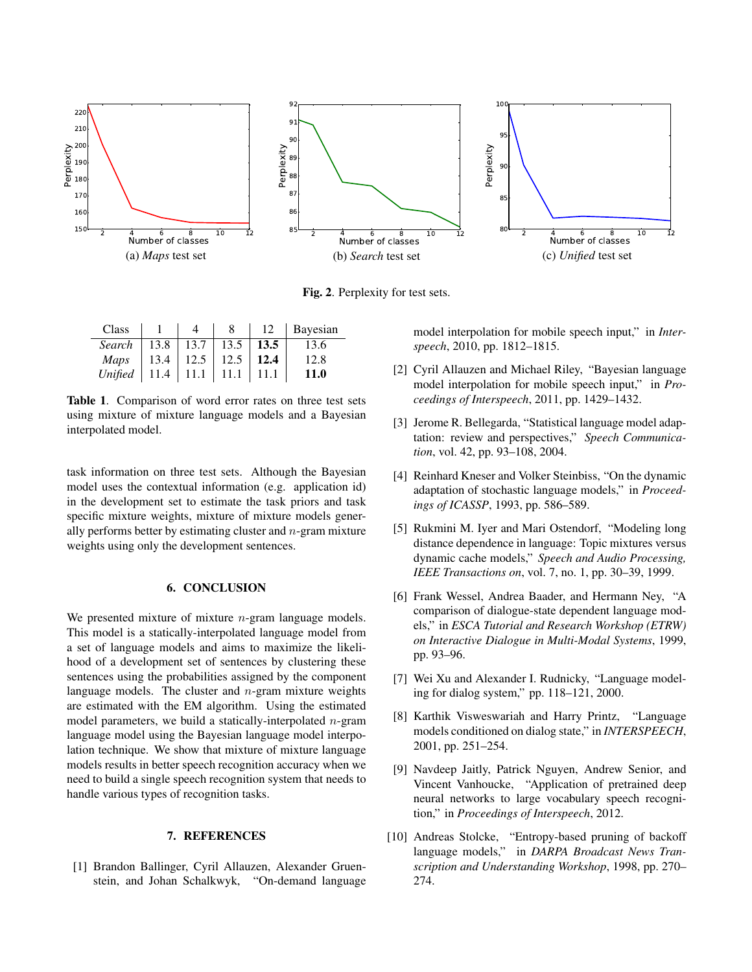

Fig. 2. Perplexity for test sets.

| Class          |      |       |      | 12   | Bayesian |
|----------------|------|-------|------|------|----------|
| Search         | 13.8 | 13.7  | 13.5 | 13.5 | 13.6     |
| Maps           | 13.4 | 12.5  | 12.5 | 12.4 | 12.8     |
| <b>Unified</b> | 11.4 | -11.1 | 11.1 | 11.1 | 11.0     |

Table 1. Comparison of word error rates on three test sets using mixture of mixture language models and a Bayesian interpolated model.

task information on three test sets. Although the Bayesian model uses the contextual information (e.g. application id) in the development set to estimate the task priors and task specific mixture weights, mixture of mixture models generally performs better by estimating cluster and  $n$ -gram mixture weights using only the development sentences.

## 6. CONCLUSION

We presented mixture of mixture  $n$ -gram language models. This model is a statically-interpolated language model from a set of language models and aims to maximize the likelihood of a development set of sentences by clustering these sentences using the probabilities assigned by the component language models. The cluster and  $n$ -gram mixture weights are estimated with the EM algorithm. Using the estimated model parameters, we build a statically-interpolated  $n$ -gram language model using the Bayesian language model interpolation technique. We show that mixture of mixture language models results in better speech recognition accuracy when we need to build a single speech recognition system that needs to handle various types of recognition tasks.

## 7. REFERENCES

[1] Brandon Ballinger, Cyril Allauzen, Alexander Gruenstein, and Johan Schalkwyk, "On-demand language model interpolation for mobile speech input," in *Interspeech*, 2010, pp. 1812–1815.

- [2] Cyril Allauzen and Michael Riley, "Bayesian language model interpolation for mobile speech input," in *Proceedings of Interspeech*, 2011, pp. 1429–1432.
- [3] Jerome R. Bellegarda, "Statistical language model adaptation: review and perspectives," *Speech Communication*, vol. 42, pp. 93–108, 2004.
- [4] Reinhard Kneser and Volker Steinbiss, "On the dynamic adaptation of stochastic language models," in *Proceedings of ICASSP*, 1993, pp. 586–589.
- [5] Rukmini M. Iyer and Mari Ostendorf, "Modeling long distance dependence in language: Topic mixtures versus dynamic cache models," *Speech and Audio Processing, IEEE Transactions on*, vol. 7, no. 1, pp. 30–39, 1999.
- [6] Frank Wessel, Andrea Baader, and Hermann Ney, "A comparison of dialogue-state dependent language models," in *ESCA Tutorial and Research Workshop (ETRW) on Interactive Dialogue in Multi-Modal Systems*, 1999, pp. 93–96.
- [7] Wei Xu and Alexander I. Rudnicky, "Language modeling for dialog system," pp. 118–121, 2000.
- [8] Karthik Visweswariah and Harry Printz, "Language models conditioned on dialog state," in *INTERSPEECH*, 2001, pp. 251–254.
- [9] Navdeep Jaitly, Patrick Nguyen, Andrew Senior, and Vincent Vanhoucke, "Application of pretrained deep neural networks to large vocabulary speech recognition," in *Proceedings of Interspeech*, 2012.
- [10] Andreas Stolcke, "Entropy-based pruning of backoff language models," in *DARPA Broadcast News Transcription and Understanding Workshop*, 1998, pp. 270– 274.